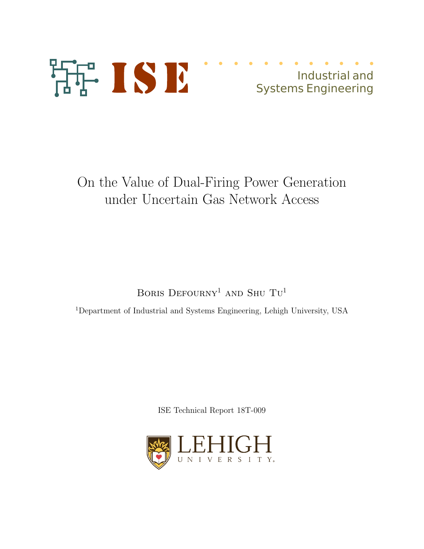

## Industrial and Systems Engineering

On the Value of Dual-Firing Power Generation under Uncertain Gas Network Access

BORIS DEFOURNY<sup>1</sup> AND SHU  $TU<sup>1</sup>$ 

<sup>1</sup>Department of Industrial and Systems Engineering, Lehigh University, USA

ISE Technical Report 18T-009

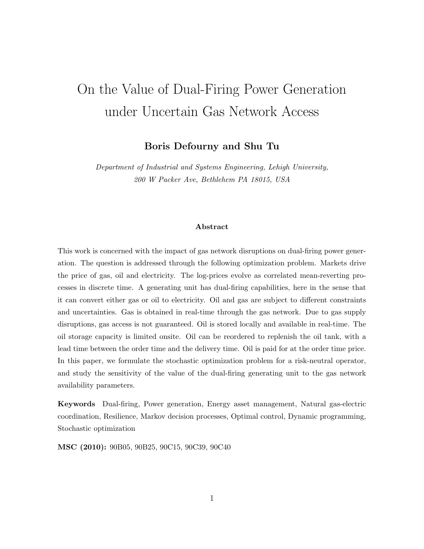# On the Value of Dual-Firing Power Generation under Uncertain Gas Network Access

Boris Defourny and Shu Tu

Department of Industrial and Systems Engineering, Lehigh University, 200 W Packer Ave, Bethlehem PA 18015, USA

#### Abstract

This work is concerned with the impact of gas network disruptions on dual-firing power generation. The question is addressed through the following optimization problem. Markets drive the price of gas, oil and electricity. The log-prices evolve as correlated mean-reverting processes in discrete time. A generating unit has dual-firing capabilities, here in the sense that it can convert either gas or oil to electricity. Oil and gas are subject to different constraints and uncertainties. Gas is obtained in real-time through the gas network. Due to gas supply disruptions, gas access is not guaranteed. Oil is stored locally and available in real-time. The oil storage capacity is limited onsite. Oil can be reordered to replenish the oil tank, with a lead time between the order time and the delivery time. Oil is paid for at the order time price. In this paper, we formulate the stochastic optimization problem for a risk-neutral operator, and study the sensitivity of the value of the dual-firing generating unit to the gas network availability parameters.

Keywords Dual-firing, Power generation, Energy asset management, Natural gas-electric coordination, Resilience, Markov decision processes, Optimal control, Dynamic programming, Stochastic optimization

MSC (2010): 90B05, 90B25, 90C15, 90C39, 90C40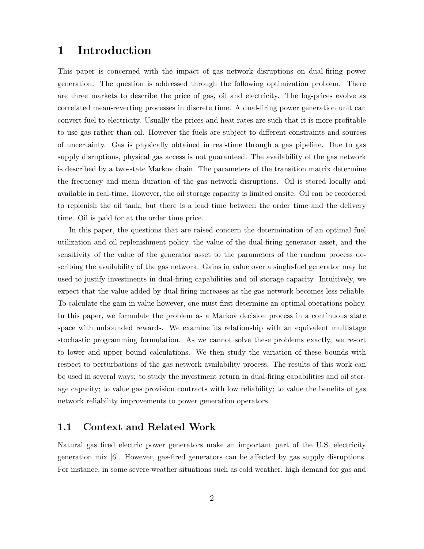### 1 Introduction

This paper is concerned with the impact of gas network disruptions on dual-firing power generation. The question is addressed through the following optimization problem. There are three markets to describe the price of gas, oil and electricity. The log-prices evolve as correlated mean-reverting processes in discrete time. A dual-firing power generation unit can convert fuel to electricity. Usually the prices and heat rates are such that it is more profitable to use gas rather than oil. However the fuels are subject to different constraints and sources of uncertainty. Gas is physically obtained in real-time through a gas pipeline. Due to gas supply disruptions, physical gas access is not guaranteed. The availability of the gas network is described by a two-state Markov chain. The parameters of the transition matrix determine the frequency and mean duration of the gas network disruptions. Oil is stored locally and available in real-time. However, the oil storage capacity is limited onsite. Oil can be reordered to replenish the oil tank, but there is a lead time between the order time and the delivery time. Oil is paid for at the order time price.

In this paper, the questions that are raised concern the determination of an optimal fuel utilization and oil replenishment policy, the value of the dual-firing generator asset, and the sensitivity of the value of the generator asset to the parameters of the random process describing the availability of the gas network. Gains in value over a single-fuel generator may be used to justify investments in dual-firing capabilities and oil storage capacity. Intuitively, we expect that the value added by dual-firing increases as the gas network becomes less reliable. To calculate the gain in value however, one must first determine an optimal operations policy. In this paper, we formulate the problem as a Markov decision process in a continuous state space with unbounded rewards. We examine its relationship with an equivalent multistage stochastic programming formulation. As we cannot solve these problems exactly, we resort to lower and upper bound calculations. We then study the variation of these bounds with respect to perturbations of the gas network availability process. The results of this work can be used in several ways: to study the investment return in dual-firing capabilities and oil storage capacity; to value gas provision contracts with low reliability; to value the benefits of gas network reliability improvements to power generation operators.

#### 1.1 Context and Related Work

Natural gas fired electric power generators make an important part of the U.S. electricity generation mix [6]. However, gas-fired generators can be affected by gas supply disruptions. For instance, in some severe weather situations such as cold weather, high demand for gas and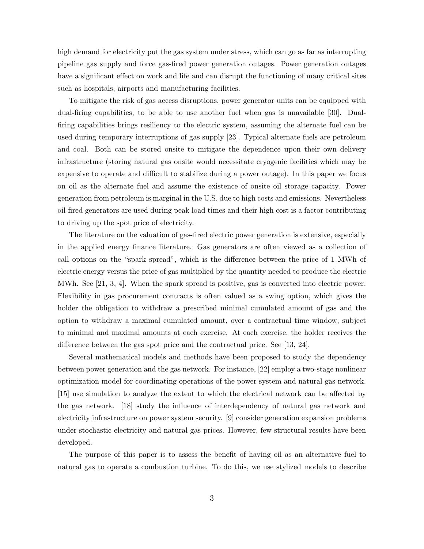high demand for electricity put the gas system under stress, which can go as far as interrupting pipeline gas supply and force gas-fired power generation outages. Power generation outages have a significant effect on work and life and can disrupt the functioning of many critical sites such as hospitals, airports and manufacturing facilities.

To mitigate the risk of gas access disruptions, power generator units can be equipped with dual-firing capabilities, to be able to use another fuel when gas is unavailable [30]. Dualfiring capabilities brings resiliency to the electric system, assuming the alternate fuel can be used during temporary interruptions of gas supply [23]. Typical alternate fuels are petroleum and coal. Both can be stored onsite to mitigate the dependence upon their own delivery infrastructure (storing natural gas onsite would necessitate cryogenic facilities which may be expensive to operate and difficult to stabilize during a power outage). In this paper we focus on oil as the alternate fuel and assume the existence of onsite oil storage capacity. Power generation from petroleum is marginal in the U.S. due to high costs and emissions. Nevertheless oil-fired generators are used during peak load times and their high cost is a factor contributing to driving up the spot price of electricity.

The literature on the valuation of gas-fired electric power generation is extensive, especially in the applied energy finance literature. Gas generators are often viewed as a collection of call options on the "spark spread", which is the difference between the price of 1 MWh of electric energy versus the price of gas multiplied by the quantity needed to produce the electric MWh. See [21, 3, 4]. When the spark spread is positive, gas is converted into electric power. Flexibility in gas procurement contracts is often valued as a swing option, which gives the holder the obligation to withdraw a prescribed minimal cumulated amount of gas and the option to withdraw a maximal cumulated amount, over a contractual time window, subject to minimal and maximal amounts at each exercise. At each exercise, the holder receives the difference between the gas spot price and the contractual price. See [13, 24].

Several mathematical models and methods have been proposed to study the dependency between power generation and the gas network. For instance, [22] employ a two-stage nonlinear optimization model for coordinating operations of the power system and natural gas network. [15] use simulation to analyze the extent to which the electrical network can be affected by the gas network. [18] study the influence of interdependency of natural gas network and electricity infrastructure on power system security. [9] consider generation expansion problems under stochastic electricity and natural gas prices. However, few structural results have been developed.

The purpose of this paper is to assess the benefit of having oil as an alternative fuel to natural gas to operate a combustion turbine. To do this, we use stylized models to describe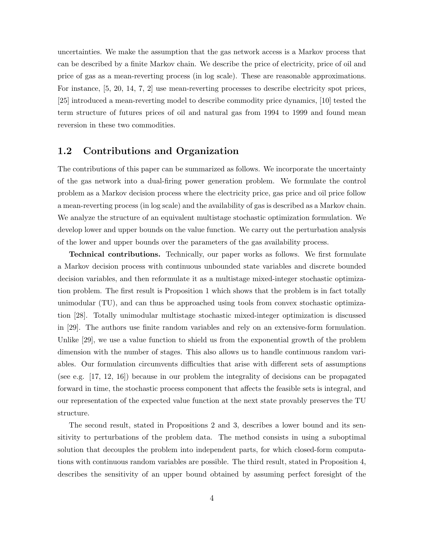uncertainties. We make the assumption that the gas network access is a Markov process that can be described by a finite Markov chain. We describe the price of electricity, price of oil and price of gas as a mean-reverting process (in log scale). These are reasonable approximations. For instance, [5, 20, 14, 7, 2] use mean-reverting processes to describe electricity spot prices, [25] introduced a mean-reverting model to describe commodity price dynamics, [10] tested the term structure of futures prices of oil and natural gas from 1994 to 1999 and found mean reversion in these two commodities.

#### 1.2 Contributions and Organization

The contributions of this paper can be summarized as follows. We incorporate the uncertainty of the gas network into a dual-firing power generation problem. We formulate the control problem as a Markov decision process where the electricity price, gas price and oil price follow a mean-reverting process (in log scale) and the availability of gas is described as a Markov chain. We analyze the structure of an equivalent multistage stochastic optimization formulation. We develop lower and upper bounds on the value function. We carry out the perturbation analysis of the lower and upper bounds over the parameters of the gas availability process.

Technical contributions. Technically, our paper works as follows. We first formulate a Markov decision process with continuous unbounded state variables and discrete bounded decision variables, and then reformulate it as a multistage mixed-integer stochastic optimization problem. The first result is Proposition 1 which shows that the problem is in fact totally unimodular (TU), and can thus be approached using tools from convex stochastic optimization [28]. Totally unimodular multistage stochastic mixed-integer optimization is discussed in [29]. The authors use finite random variables and rely on an extensive-form formulation. Unlike [29], we use a value function to shield us from the exponential growth of the problem dimension with the number of stages. This also allows us to handle continuous random variables. Our formulation circumvents difficulties that arise with different sets of assumptions (see e.g. [17, 12, 16]) because in our problem the integrality of decisions can be propagated forward in time, the stochastic process component that affects the feasible sets is integral, and our representation of the expected value function at the next state provably preserves the TU structure.

The second result, stated in Propositions 2 and 3, describes a lower bound and its sensitivity to perturbations of the problem data. The method consists in using a suboptimal solution that decouples the problem into independent parts, for which closed-form computations with continuous random variables are possible. The third result, stated in Proposition 4, describes the sensitivity of an upper bound obtained by assuming perfect foresight of the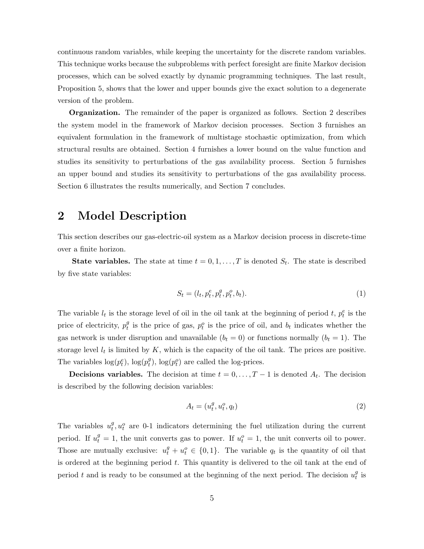continuous random variables, while keeping the uncertainty for the discrete random variables. This technique works because the subproblems with perfect foresight are finite Markov decision processes, which can be solved exactly by dynamic programming techniques. The last result, Proposition 5, shows that the lower and upper bounds give the exact solution to a degenerate version of the problem.

Organization. The remainder of the paper is organized as follows. Section 2 describes the system model in the framework of Markov decision processes. Section 3 furnishes an equivalent formulation in the framework of multistage stochastic optimization, from which structural results are obtained. Section 4 furnishes a lower bound on the value function and studies its sensitivity to perturbations of the gas availability process. Section 5 furnishes an upper bound and studies its sensitivity to perturbations of the gas availability process. Section 6 illustrates the results numerically, and Section 7 concludes.

## 2 Model Description

This section describes our gas-electric-oil system as a Markov decision process in discrete-time over a finite horizon.

**State variables.** The state at time  $t = 0, 1, \ldots, T$  is denoted  $S_t$ . The state is described by five state variables:

$$
S_t = (l_t, p_t^e, p_t^g, p_t^o, b_t).
$$
\n(1)

The variable  $l_t$  is the storage level of oil in the oil tank at the beginning of period t,  $p_t^e$  is the price of electricity,  $p_t^g$  $t$ <sup>t</sup> is the price of gas,  $p_t^o$  is the price of oil, and  $b_t$  indicates whether the gas network is under disruption and unavailable  $(b_t = 0)$  or functions normally  $(b_t = 1)$ . The storage level  $l_t$  is limited by K, which is the capacity of the oil tank. The prices are positive. The variables  $\log(p_t^e)$ ,  $\log(p_t^g)$  $t^{(g)}$ , log( $p_t^o$ ) are called the log-prices.

**Decisions variables.** The decision at time  $t = 0, \ldots, T-1$  is denoted  $A_t$ . The decision is described by the following decision variables:

$$
A_t = (u_t^g, u_t^o, q_t) \tag{2}
$$

The variables  $u_t^g$  $t<sub>t</sub>$ ,  $u<sub>t</sub>$ <sup>*a*</sup> are 0-1 indicators determining the fuel utilization during the current period. If  $u_t^g = 1$ , the unit converts gas to power. If  $u_t^o = 1$ , the unit converts oil to power. Those are mutually exclusive:  $u_t^g + u_t^o \in \{0,1\}$ . The variable  $q_t$  is the quantity of oil that is ordered at the beginning period  $t$ . This quantity is delivered to the oil tank at the end of period t and is ready to be consumed at the beginning of the next period. The decision  $u_t^g$  $\frac{g}{t}$  is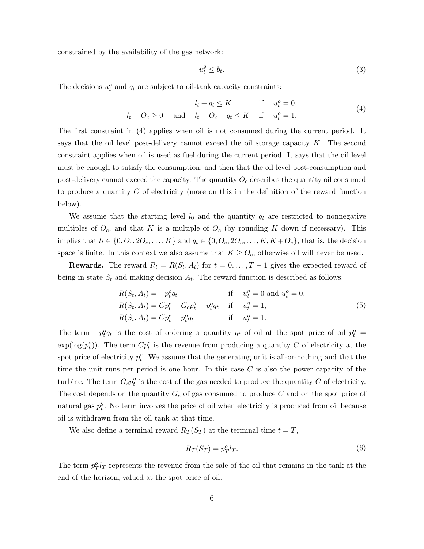constrained by the availability of the gas network:

$$
u_t^g \le b_t. \tag{3}
$$

The decisions  $u_t^o$  and  $q_t$  are subject to oil-tank capacity constraints:

$$
l_t + q_t \le K \qquad \text{if} \quad u_t^o = 0,
$$
  

$$
l_t - O_c \ge 0 \quad \text{and} \quad l_t - O_c + q_t \le K \quad \text{if} \quad u_t^o = 1.
$$
 (4)

The first constraint in (4) applies when oil is not consumed during the current period. It says that the oil level post-delivery cannot exceed the oil storage capacity  $K$ . The second constraint applies when oil is used as fuel during the current period. It says that the oil level must be enough to satisfy the consumption, and then that the oil level post-consumption and post-delivery cannot exceed the capacity. The quantity  $O<sub>c</sub>$  describes the quantity oil consumed to produce a quantity  $C$  of electricity (more on this in the definition of the reward function below).

We assume that the starting level  $l_0$  and the quantity  $q_t$  are restricted to nonnegative multiples of  $O_c$ , and that K is a multiple of  $O_c$  (by rounding K down if necessary). This implies that  $l_t \in \{0, O_c, 2O_c, \ldots, K\}$  and  $q_t \in \{0, O_c, 2O_c, \ldots, K, K + O_c\}$ , that is, the decision space is finite. In this context we also assume that  $K \geq O_c$ , otherwise oil will never be used.

**Rewards.** The reward  $R_t = R(S_t, A_t)$  for  $t = 0, \ldots, T-1$  gives the expected reward of being in state  $S_t$  and making decision  $A_t$ . The reward function is described as follows:

R(S<sup>t</sup> , At) = −p o t qt if u g <sup>t</sup> = 0 and u o <sup>t</sup> = 0, R(S<sup>t</sup> , At) = Cp<sup>e</sup> <sup>t</sup> − Gcp g <sup>t</sup> − p o t qt if u g <sup>t</sup> = 1, R(S<sup>t</sup> , At) = Cp<sup>e</sup> <sup>t</sup> − p o t qt if u o <sup>t</sup> = 1. (5)

The term  $-p_t^o q_t$  is the cost of ordering a quantity  $q_t$  of oil at the spot price of oil  $p_t^o$  $\exp(\log(p_t^o))$ . The term  $Cp_t^e$  is the revenue from producing a quantity C of electricity at the spot price of electricity  $p_t^e$ . We assume that the generating unit is all-or-nothing and that the time the unit runs per period is one hour. In this case  $C$  is also the power capacity of the turbine. The term  $G_c p_t^g$  $_t^g$  is the cost of the gas needed to produce the quantity C of electricity. The cost depends on the quantity  $G_c$  of gas consumed to produce  $C$  and on the spot price of natural gas  $p_t^g$  $t_t^g$ . No term involves the price of oil when electricity is produced from oil because oil is withdrawn from the oil tank at that time.

We also define a terminal reward  $R_T(S_T)$  at the terminal time  $t = T$ ,

$$
R_T(S_T) = p_T^o l_T. \tag{6}
$$

The term  $p_T^o l_T$  represents the revenue from the sale of the oil that remains in the tank at the end of the horizon, valued at the spot price of oil.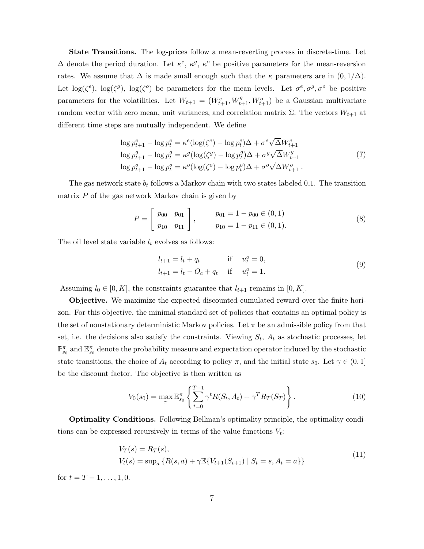State Transitions. The log-prices follow a mean-reverting process in discrete-time. Let  $\Delta$  denote the period duration. Let  $\kappa^e$ ,  $\kappa^g$ ,  $\kappa^o$  be positive parameters for the mean-reversion rates. We assume that  $\Delta$  is made small enough such that the  $\kappa$  parameters are in  $(0, 1/\Delta)$ . Let  $\log(\zeta^e)$ ,  $\log(\zeta^g)$ ,  $\log(\zeta^o)$  be parameters for the mean levels. Let  $\sigma^e, \sigma^g, \sigma^o$  be positive parameters for the volatilities. Let  $W_{t+1} = (W_{t+1}^e, W_{t+1}^g, W_{t+1}^o)$  be a Gaussian multivariate random vector with zero mean, unit variances, and correlation matrix  $\Sigma$ . The vectors  $W_{t+1}$  at different time steps are mutually independent. We define

$$
\log p_{t+1}^e - \log p_t^e = \kappa^e (\log(\zeta^e) - \log p_t^e) \Delta + \sigma^e \sqrt{\Delta} W_{t+1}^e
$$
  
\n
$$
\log p_{t+1}^g - \log p_t^g = \kappa^g (\log(\zeta^g) - \log p_t^g) \Delta + \sigma^g \sqrt{\Delta} W_{t+1}^g
$$
  
\n
$$
\log p_{t+1}^o - \log p_t^o = \kappa^o (\log(\zeta^o) - \log p_t^o) \Delta + \sigma^o \sqrt{\Delta} W_{t+1}^o
$$
 (7)

The gas network state  $b_t$  follows a Markov chain with two states labeled 0,1. The transition matrix  $P$  of the gas network Markov chain is given by

$$
P = \begin{bmatrix} p_{00} & p_{01} \\ p_{10} & p_{11} \end{bmatrix}, \qquad p_{01} = 1 - p_{00} \in (0, 1) p_{10} = 1 - p_{11} \in (0, 1).
$$
 (8)

The oil level state variable  $l_t$  evolves as follows:

$$
l_{t+1} = l_t + q_t \t\t \text{if} \t u_t^o = 0,\n l_{t+1} = l_t - O_c + q_t \t \text{if} \t u_t^o = 1.
$$
\n(9)

Assuming  $l_0 \in [0, K]$ , the constraints guarantee that  $l_{t+1}$  remains in  $[0, K]$ .

Objective. We maximize the expected discounted cumulated reward over the finite horizon. For this objective, the minimal standard set of policies that contains an optimal policy is the set of nonstationary deterministic Markov policies. Let  $\pi$  be an admissible policy from that set, i.e. the decisions also satisfy the constraints. Viewing  $S_t$ ,  $A_t$  as stochastic processes, let  $\mathbb{P}^{\pi}_{s_0}$  and  $\mathbb{E}^{\pi}_{s_0}$  denote the probability measure and expectation operator induced by the stochastic state transitions, the choice of  $A_t$  according to policy  $\pi$ , and the initial state  $s_0$ . Let  $\gamma \in (0,1]$ be the discount factor. The objective is then written as

$$
V_0(s_0) = \max_{\pi} \mathbb{E}_{s_0}^{\pi} \left\{ \sum_{t=0}^{T-1} \gamma^t R(S_t, A_t) + \gamma^T R_T(S_T) \right\}.
$$
 (10)

Optimality Conditions. Following Bellman's optimality principle, the optimality conditions can be expressed recursively in terms of the value functions  $V_t$ :

$$
V_T(s) = R_T(s),
$$
  
\n
$$
V_t(s) = \sup_a \{ R(s, a) + \gamma \mathbb{E} \{ V_{t+1}(S_{t+1}) \mid S_t = s, A_t = a \} \}
$$
\n(11)

for  $t = T - 1, \ldots, 1, 0$ .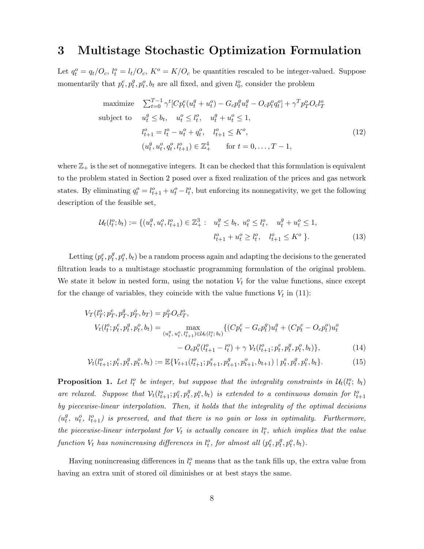#### 3 Multistage Stochastic Optimization Formulation

Let  $q_t^o = q_t/O_c$ ,  $l_t^o = l_t/O_c$ ,  $K^o = K/O_c$  be quantities rescaled to be integer-valued. Suppose momentarily that  $p_t^e, p_t^g$  $t<sub>t</sub>$ ,  $p<sub>t</sub>$ ,  $b<sub>t</sub>$  are all fixed, and given  $l<sub>0</sub>$ , consider the problem

maximize 
$$
\sum_{t=0}^{T-1} \gamma^t [C p_t^e (u_t^g + u_t^o) - G_c p_t^g u_t^g - O_c p_t^o q_t^o] + \gamma^T p_T^o O_c l_T^o
$$
  
subject to 
$$
u_t^g \le b_t, \quad u_t^o \le l_t^o, \quad u_t^g + u_t^o \le 1,
$$

$$
l_{t+1}^o = l_t^o - u_t^o + q_t^o, \quad l_{t+1}^o \le K^o,
$$

$$
(u_t^g, u_t^o, q_t^o, l_{t+1}^o) \in \mathbb{Z}_+^4 \quad \text{for } t = 0, \dots, T-1,
$$
 (12)

where  $\mathbb{Z}_+$  is the set of nonnegative integers. It can be checked that this formulation is equivalent to the problem stated in Section 2 posed over a fixed realization of the prices and gas network states. By eliminating  $q_t^o = l_{t+1}^o + u_t^o - l_t^o$ , but enforcing its nonnegativity, we get the following description of the feasible set,

$$
\mathcal{U}_t(l_t^o; b_t) := \{ (u_t^g, u_t^o, l_{t+1}^o) \in \mathbb{Z}_+^3 : \quad u_t^g \le b_t, \ u_t^o \le l_t^o, \quad u_t^g + u_t^o \le 1, \n l_{t+1}^o + u_t^o \ge l_t^o, \quad l_{t+1}^o \le K^o \}.
$$
\n
$$
(13)
$$

Letting  $(p_t^e, p_t^g)$  $(t<sub>t</sub>, p<sub>t</sub>, b<sub>t</sub>)$  be a random process again and adapting the decisions to the generated filtration leads to a multistage stochastic programming formulation of the original problem. We state it below in nested form, using the notation  $V_t$  for the value functions, since except for the change of variables, they coincide with the value functions  $V_t$  in (11):

$$
V_T(l_T^o; p_T^e, p_T^o, p_T^o, b_T) = p_T^o O_c l_T^o,
$$
  
\n
$$
V_t(l_t^o; p_t^e, p_t^g, p_t^o, b_t) = \max_{(u_t^g, u_t^o, l_{t+1}^o) \in U_t(l_t^o; b_t)} \{ (C p_t^e - G_c p_t^g) u_t^g + (C p_t^e - O_c p_t^o) u_t^o - O_c p_t^o (l_{t+1}^o - l_t^o) + \gamma \ V_t(l_{t+1}^o; p_t^e, p_t^g, p_t^o, b_t) \},
$$
\n
$$
(14)
$$

$$
\mathcal{V}_t(l_{t+1}^o; p_t^e, p_t^g, p_t^o, b_t) := \mathbb{E}\{V_{t+1}(l_{t+1}^o; p_{t+1}^e, p_{t+1}^g, p_{t+1}^o, b_{t+1}) \mid p_t^e, p_t^g, p_t^o, b_t\}.
$$
\n(15)

**Proposition 1.** Let  $l_t^o$  be integer, but suppose that the integrality constraints in  $\mathcal{U}_t(l_t^o; b_t)$ are relaxed. Suppose that  $\mathcal{V}_t(l_{t+1}^o; p_t^e, p_t^g)$  $\left( \theta _{t}^{g},\rho _{t}^{o},b_{t}\right)$  is extended to a continuous domain for  $l_{t+1}^{o}$ by piecewise-linear interpolation. Then, it holds that the integrality of the optimal decisions  $(u_t^g)$  $t_t^g$ ,  $u_t^o$ ,  $l_{t+1}^o$ ) is preserved, and that there is no gain or loss in optimality. Furthermore, the piecewise-linear interpolant for  $V_t$  is actually concave in  $l_t^o$ , which implies that the value function  $V_t$  has nonincreasing differences in  $l_t^o$ , for almost all  $(p_t^e, p_t^g)$  $_t^g, p_t^o, b_t)$ .

Having nonincreasing differences in  $l_t^o$  means that as the tank fills up, the extra value from having an extra unit of stored oil diminishes or at best stays the same.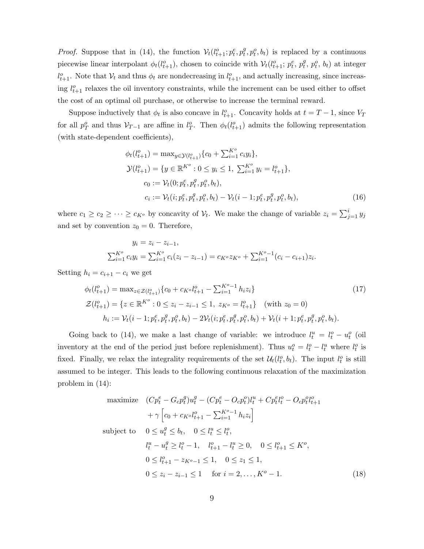*Proof.* Suppose that in (14), the function  $\mathcal{V}_t(l_{t+1}^o; p_t^e, p_t^g)$  $(t<sup>g</sup>, p<sub>t</sub>, b<sub>t</sub>)$  is replaced by a continuous piecewise linear interpolant  $\phi_t(l_{t+1}^o)$ , chosen to coincide with  $\mathcal{V}_t(l_{t+1}^o; p_t^e, p_t^g)$  $t^g$ ,  $p_t^o$ ,  $b_t$ ) at integer  $l_{t+1}^o$ . Note that  $V_t$  and thus  $\phi_t$  are nondecreasing in  $l_{t+1}^o$ , and actually increasing, since increasing  $l_{t+1}^o$  relaxes the oil inventory constraints, while the increment can be used either to offset the cost of an optimal oil purchase, or otherwise to increase the terminal reward.

Suppose inductively that  $\phi_t$  is also concave in  $l_{t+1}^o$ . Concavity holds at  $t = T - 1$ , since  $V_T$ for all  $p_T^o$  and thus  $V_{T-1}$  are affine in  $l_T^o$ . Then  $\phi_t(l_{t+1}^o)$  admits the following representation (with state-dependent coefficients),

$$
\phi_t(l_{t+1}^o) = \max_{y \in \mathcal{Y}(l_{t+1}^o)} \{c_0 + \sum_{i=1}^{K^o} c_i y_i\},
$$
  
\n
$$
\mathcal{Y}(l_{t+1}^o) = \{y \in \mathbb{R}^{K^o} : 0 \le y_i \le 1, \sum_{i=1}^{K^o} y_i = l_{t+1}^o\},
$$
  
\n
$$
c_0 := \mathcal{V}_t(0; p_t^e, p_t^g, p_t^o, b_t),
$$
  
\n
$$
c_i := \mathcal{V}_t(i; p_t^e, p_t^g, p_t^o, b_t) - \mathcal{V}_t(i-1; p_t^e, p_t^g, p_t^o, b_t),
$$
\n(16)

where  $c_1 \geq c_2 \geq \cdots \geq c_{K^o}$  by concavity of  $\mathcal{V}_t$ . We make the change of variable  $z_i = \sum_{j=1}^i y_j$ and set by convention  $z_0 = 0$ . Therefore,

$$
y_i = z_i - z_{i-1},
$$
  

$$
\sum_{i=1}^{K^o} c_i y_i = \sum_{i=1}^{K^o} c_i (z_i - z_{i-1}) = c_{K^o} z_{K^o} + \sum_{i=1}^{K^o-1} (c_i - c_{i+1}) z_i.
$$

Setting  $h_i = c_{i+1} - c_i$  we get

$$
\phi_t(l_{t+1}^o) = \max_{z \in \mathcal{Z}(l_{t+1}^o)} \{c_0 + c_{K^o} l_{t+1}^o - \sum_{i=1}^{K^o-1} h_i z_i\}
$$
\n
$$
\mathcal{Z}(l_{t+1}^o) = \{z \in \mathbb{R}^{K^o} : 0 \le z_i - z_{i-1} \le 1, \ z_{K^o} = l_{t+1}^o\} \quad \text{(with } z_0 = 0\}
$$
\n
$$
h_i := \mathcal{V}_t(i-1; p_t^e, p_t^g, p_t^o, b_t) - 2\mathcal{V}_t(i; p_t^e, p_t^g, p_t^o, b_t) + \mathcal{V}_t(i+1; p_t^e, p_t^g, p_t^o, b_t).
$$
\n
$$
(17)
$$

Going back to (14), we make a last change of variable: we introduce  $l_t^u = l_t^o - u_t^o$  (oil inventory at the end of the period just before replenishment). Thus  $u_t^o = l_t^o - l_t^u$  where  $l_t^o$  is fixed. Finally, we relax the integrality requirements of the set  $\mathcal{U}_t(l_t^o, b_t)$ . The input  $l_t^o$  is still assumed to be integer. This leads to the following continuous relaxation of the maximization problem in (14):

maximize 
$$
(Cp_t^e - G_c p_t^g)u_t^g - (Cp_t^e - O_c p_t^o)l_t^u + Cp_t^e l_t^o - O_c p_t^o l_{t+1}^o
$$
  
\t $+ \gamma \left[ c_0 + c_{K^o} l_{t+1}^o - \sum_{i=1}^{K^o-1} h_i z_i \right]$   
\nsubject to  $0 \le u_t^g \le b_t$ ,  $0 \le l_t^u \le l_t^o$ ,  
\t $l_t^u - u_t^g \ge l_t^o - 1$ ,  $l_{t+1}^o - l_t^u \ge 0$ ,  $0 \le l_{t+1}^o \le K^o$ ,  
\t $0 \le l_{t+1}^o - z_{K^o-1} \le 1$ ,  $0 \le z_1 \le 1$ ,  
\t $0 \le z_i - z_{i-1} \le 1$  for  $i = 2, ..., K^o - 1$ . (18)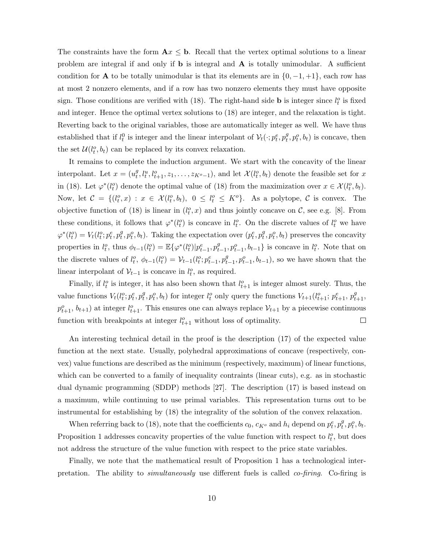The constraints have the form  $\mathbf{A}x \leq \mathbf{b}$ . Recall that the vertex optimal solutions to a linear problem are integral if and only if  $\bf{b}$  is integral and  $\bf{A}$  is totally unimodular. A sufficient condition for **A** to be totally unimodular is that its elements are in  $\{0, -1, +1\}$ , each row has at most 2 nonzero elements, and if a row has two nonzero elements they must have opposite sign. Those conditions are verified with (18). The right-hand side **b** is integer since  $l_t^o$  is fixed and integer. Hence the optimal vertex solutions to (18) are integer, and the relaxation is tight. Reverting back to the original variables, those are automatically integer as well. We have thus established that if  $l_t^0$  is integer and the linear interpolant of  $\mathcal{V}_t(\cdot; p_t^e, p_t^g)$  $(t<sup>g</sup>, p<sub>t</sub><sup>o</sup>, b<sub>t</sub>)$  is concave, then the set  $\mathcal{U}(l^o_t, b_t)$  can be replaced by its convex relaxation.

It remains to complete the induction argument. We start with the concavity of the linear interpolant. Let  $x = (u_t^g)$  $t^g, l^u_t, l^o_{t+1}, z_1, \ldots, z_{K^o-1}$ , and let  $\mathcal{X}(l^o_t, b_t)$  denote the feasible set for x in (18). Let  $\varphi^*(l_t^o)$  denote the optimal value of (18) from the maximization over  $x \in \mathcal{X}(l_t^o, b_t)$ . Now, let  $\mathcal{C} = \{ (l_t^o, x) : x \in \mathcal{X}(l_t^o, b_t), 0 \leq l_t^o \leq K^o \}.$  As a polytope,  $\mathcal{C}$  is convex. The objective function of (18) is linear in  $(l_t^o, x)$  and thus jointly concave on C, see e.g. [8]. From these conditions, it follows that  $\varphi^*(l_t^o)$  is concave in  $l_t^o$ . On the discrete values of  $l_t^o$  we have  $\varphi^*(l_t^o) = V_t(l_t^o; p_t^e, p_t^g)$  $(t, p_t^g, b_t)$ . Taking the expectation over  $(p_t^e, p_t^g)$  $(t<sup>g</sup>, p<sub>t</sub>, b<sub>t</sub>)$  preserves the concavity properties in  $l_t^o$ , thus  $\phi_{t-1}(l_t^o) = \mathbb{E}\{\varphi^*(l_t^o)|p_{t-1}^e,p_t^g\}$  $\{e_{t-1}, p_{t-1}^o, b_{t-1}\}\$ is concave in  $l_t^o$ . Note that on the discrete values of  $l_t^o$ ,  $\phi_{t-1}(l_t^o) = \mathcal{V}_{t-1}(l_t^o; p_{t-1}^e, p_t^o)$  $_{t-1}^g, p_{t-1}^o, b_{t-1}$ , so we have shown that the linear interpolant of  $\mathcal{V}_{t-1}$  is concave in  $l_t^o$ , as required.

Finally, if  $l_t^o$  is integer, it has also been shown that  $l_{t+1}^o$  is integer almost surely. Thus, the value functions  $V_t(l_t^o; p_t^e, p_t^g)$  $(t<sub>t</sub>, p<sub>t</sub><sup>g</sup>, b<sub>t</sub>)$  for integer  $l<sub>t</sub><sup>o</sup>$  only query the functions  $V<sub>t+1</sub>(l<sub>t+1</sub><sup>o</sup>; p<sub>t+1</sub><sup>e</sup>, p<sub>t+1</sub><sup>g</sup>)$  $p_{t+1}^o, b_{t+1}$  at integer  $l_{t+1}^o$ . This ensures one can always replace  $V_{t+1}$  by a piecewise continuous function with breakpoints at integer  $l_{t+1}^o$  without loss of optimality.  $\Box$ 

An interesting technical detail in the proof is the description (17) of the expected value function at the next state. Usually, polyhedral approximations of concave (respectively, convex) value functions are described as the minimum (respectively, maximum) of linear functions, which can be converted to a family of inequality contraints (linear cuts), e.g. as in stochastic dual dynamic programming (SDDP) methods [27]. The description (17) is based instead on a maximum, while continuing to use primal variables. This representation turns out to be instrumental for establishing by (18) the integrality of the solution of the convex relaxation.

When referring back to (18), note that the coefficients  $c_0$ ,  $c_{K^o}$  and  $h_i$  depend on  $p_t^e, p_t^g$  $_t^g, p_t^o, b_t.$ Proposition 1 addresses concavity properties of the value function with respect to  $l_t^o$ , but does not address the structure of the value function with respect to the price state variables.

Finally, we note that the mathematical result of Proposition 1 has a technological interpretation. The ability to simultaneously use different fuels is called co-firing. Co-firing is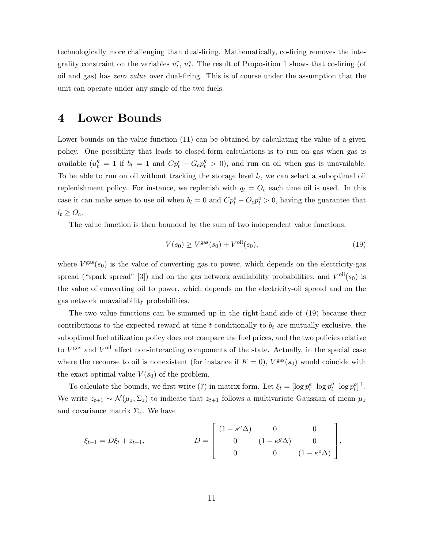technologically more challenging than dual-firing. Mathematically, co-firing removes the integrality constraint on the variables  $u_t^e, u_t^o$ . The result of Proposition 1 shows that co-firing (of oil and gas) has zero value over dual-firing. This is of course under the assumption that the unit can operate under any single of the two fuels.

#### 4 Lower Bounds

Lower bounds on the value function (11) can be obtained by calculating the value of a given policy. One possibility that leads to closed-form calculations is to run on gas when gas is available  $(u_t^g = 1$  if  $b_t = 1$  and  $Cp_t^e - G_cp_t^g > 0$ , and run on oil when gas is unavailable. To be able to run on oil without tracking the storage level  $l_t$ , we can select a suboptimal oil replenishment policy. For instance, we replenish with  $q_t = O_c$  each time oil is used. In this case it can make sense to use oil when  $b_t = 0$  and  $C p_t^e - O_c p_t^o > 0$ , having the guarantee that  $l_t \geq O_c$ .

The value function is then bounded by the sum of two independent value functions:

$$
V(s_0) \ge V^{\text{gas}}(s_0) + V^{\text{oil}}(s_0),\tag{19}
$$

where  $V^{\text{gas}}(s_0)$  is the value of converting gas to power, which depends on the electricity-gas spread ("spark spread" [3]) and on the gas network availability probabilities, and  $V^{oil}(s_0)$  is the value of converting oil to power, which depends on the electricity-oil spread and on the gas network unavailability probabilities.

The two value functions can be summed up in the right-hand side of (19) because their contributions to the expected reward at time  $t$  conditionally to  $b_t$  are mutually exclusive, the suboptimal fuel utilization policy does not compare the fuel prices, and the two policies relative to  $V<sup>gas</sup>$  and  $V<sup>oil</sup>$  affect non-interacting components of the state. Actually, in the special case where the recourse to oil is nonexistent (for instance if  $K = 0$ ),  $V^{\text{gas}}(s_0)$  would coincide with the exact optimal value  $V(s_0)$  of the problem.

To calculate the bounds, we first write (7) in matrix form. Let  $\xi_t = [\log p_t^e \log p_t^g]$  $\int_t^g \log p_t^o$ <sup>T</sup>. We write  $z_{t+1} \sim \mathcal{N}(\mu_z, \Sigma_z)$  to indicate that  $z_{t+1}$  follows a multivariate Gaussian of mean  $\mu_z$ and covariance matrix  $\Sigma_z$ . We have

$$
\xi_{t+1} = D\xi_t + z_{t+1}, \qquad D = \begin{bmatrix} (1 - \kappa^e \Delta) & 0 & 0 \\ 0 & (1 - \kappa^g \Delta) & 0 \\ 0 & 0 & (1 - \kappa^o \Delta) \end{bmatrix},
$$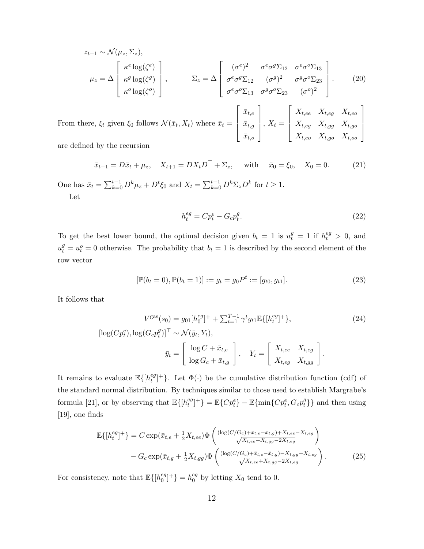$$
z_{t+1} \sim \mathcal{N}(\mu_z, \Sigma_z),
$$
\n
$$
\mu_z = \Delta \begin{bmatrix} \kappa^e \log(\zeta^e) \\ \kappa^g \log(\zeta^g) \\ \kappa^o \log(\zeta^o) \end{bmatrix}, \qquad \Sigma_z = \Delta \begin{bmatrix} (\sigma^e)^2 & \sigma^e \sigma^g \Sigma_{12} & \sigma^e \sigma^o \Sigma_{13} \\ \sigma^e \sigma^g \Sigma_{12} & (\sigma^g)^2 & \sigma^g \sigma^o \Sigma_{23} \\ \sigma^e \sigma^o \Sigma_{13} & \sigma^g \sigma^o \Sigma_{23} & (\sigma^o)^2 \end{bmatrix}.
$$
\n(20)\n\nFrom there,  $\xi_t$  given  $\xi_0$  follows  $\mathcal{N}(\bar{x}_t, X_t)$  where  $\bar{x}_t = \begin{bmatrix} \bar{x}_{t,e} \\ \bar{x}_{t,g} \\ \bar{x}_{t,g} \end{bmatrix}, X_t = \begin{bmatrix} X_{t,ee} & X_{t,eg} & X_{t,eo} \\ X_{t,eg} & X_{t,go} & X_{t,oo} \\ X_{t,eo} & X_{t,go} & X_{t,oo} \end{bmatrix}$  are defined by the recursion

$$
\bar{x}_{t+1} = D\bar{x}_t + \mu_z
$$
,  $X_{t+1} = DX_tD^{\top} + \Sigma_z$ , with  $\bar{x}_0 = \xi_0$ ,  $X_0 = 0$ . (21)

One has  $\bar{x}_t = \sum_{k=0}^{t-1} D^k \mu_z + D^t \xi_0$  and  $X_t = \sum_{k=0}^{t-1} D^k \Sigma_z D^k$  for  $t \ge 1$ . Let

$$
h_t^{eg} = Cp_t^e - G_c p_t^g. \tag{22}
$$

To get the best lower bound, the optimal decision given  $b_t = 1$  is  $u_t^g = 1$  if  $h_t^{eg} > 0$ , and  $u_t^g = u_t^o = 0$  otherwise. The probability that  $b_t = 1$  is described by the second element of the row vector

$$
[\mathbb{P}(b_t = 0), \mathbb{P}(b_t = 1)] := g_t = g_0 P^t := [g_{t0}, g_{t1}].
$$
\n(23)

It follows that

$$
V^{\text{gas}}(s_0) = g_{01}[h_0^{eg}]^+ + \sum_{t=1}^{T-1} \gamma^t g_{t1} \mathbb{E}\{[h_t^{eg}]^+\},
$$
\n
$$
[\log(Cp_t^e), \log(G_c p_t^g)]^\top \sim \mathcal{N}(\bar{y}_t, Y_t),
$$
\n
$$
\bar{y}_t = \begin{bmatrix} \log C + \bar{x}_{t,e} \\ \log G_c + \bar{x}_{t,g} \end{bmatrix}, \quad Y_t = \begin{bmatrix} X_{t,ee} & X_{t,eg} \\ X_{t,eg} & X_{t,gg} \end{bmatrix}.
$$
\n(24)

It remains to evaluate  $\mathbb{E}\left\{\left|h_t^{eg}\right|\right\}$ <sup>eg</sup><sup> $+$ </sup>}. Let  $\Phi(\cdot)$  be the cumulative distribution function (cdf) of the standard normal distribution. By techniques similar to those used to establish Margrabe's formula [21], or by observing that  $\mathbb{E}\left\{\left|h_t^{eg}\right|\right\}$  $\{e^{t}e^{t}e^{t}\}=\mathbb{E}\{Cp_{t}^{e}\}-\mathbb{E}\{\min\{Cp_{t}^{e},G_{c}p_{t}^{g}\}$  $_{t}^{g}$ } and then using [19], one finds

$$
\mathbb{E}\{|h_t^{eg}|^+\} = C \exp(\bar{x}_{t,e} + \frac{1}{2}X_{t,ee})\Phi\left(\frac{(\log(C/G_c) + \bar{x}_{t,e} - \bar{x}_{t,g}) + X_{t,ee} - X_{t,eg}}{\sqrt{X_{t,ee} + X_{t,gg} - 2X_{t,eg}}}\right) \n- G_c \exp(\bar{x}_{t,g} + \frac{1}{2}X_{t,gg})\Phi\left(\frac{(\log(C/G_c) + \bar{x}_{t,e} - \bar{x}_{t,g}) - X_{t,gg} + X_{t,eg}}{\sqrt{X_{t,ee} + X_{t,gg} - 2X_{t,eg}}}\right).
$$
\n(25)

For consistency, note that  $\mathbb{E}\left\{\left|h_0^{eg}\right|\right\}$  $|{}_{0}^{eg}{}_{]}^{+}\} = h_{0}^{eg}{}_{ }^{ }{}_{ }^{ }$  $_{0}^{eg}$  by letting  $X_0$  tend to 0.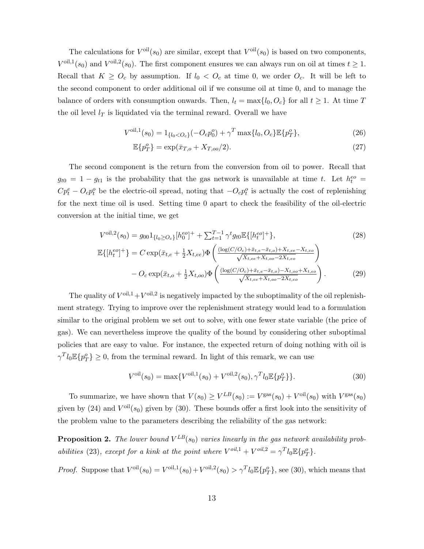The calculations for  $V^{oil}(s_0)$  are similar, except that  $V^{oil}(s_0)$  is based on two components,  $V^{\text{oil},1}(s_0)$  and  $V^{\text{oil},2}(s_0)$ . The first component ensures we can always run on oil at times  $t \geq 1$ . Recall that  $K \geq O_c$  by assumption. If  $l_0 < O_c$  at time 0, we order  $O_c$ . It will be left to the second component to order additional oil if we consume oil at time 0, and to manage the balance of orders with consumption onwards. Then,  $l_t = \max\{l_0, O_c\}$  for all  $t \geq 1$ . At time T the oil level  $l_T$  is liquidated via the terminal reward. Overall we have

$$
V^{\text{oil},1}(s_0) = 1_{\{l_0 < O_c\}}(-O_c p_0^o) + \gamma^T \max\{l_0, O_c\} \mathbb{E}\{p_T^o\},\tag{26}
$$

$$
\mathbb{E}\{p_T^o\} = \exp(\bar{x}_{T,o} + X_{T,oo}/2). \tag{27}
$$

The second component is the return from the conversion from oil to power. Recall that  $g_{t0} = 1 - g_{t1}$  is the probability that the gas network is unavailable at time t. Let  $h_t^{eo} =$  $Cp_t^e - O_cp_t^o$  be the electric-oil spread, noting that  $-O_cp_t^o$  is actually the cost of replenishing for the next time oil is used. Setting time 0 apart to check the feasibility of the oil-electric conversion at the initial time, we get

$$
V^{\text{oil},2}(s_0) = g_{00} 1_{\{l_0 \ge O_c\}} [h_0^{eo}]^+ + \sum_{t=1}^{T-1} \gamma^t g_{t0} \mathbb{E}\{[h_t^{eo}]^+\},
$$
\n
$$
\mathbb{E}\{[h_t^{eo}]^+\} = C \exp(\bar{x}_{t,e} + \frac{1}{2} X_{t,ee}) \Phi\left(\frac{(\log(C/O_c) + \bar{x}_{t,e} - \bar{x}_{t,o}) + X_{t,ee} - X_{t,ee}}{\sqrt{X_{t,ee} + X_{t,oo} - 2X_{t,eo}}}\right)
$$
\n
$$
- O_c \exp(\bar{x}_{t,o} + \frac{1}{2} X_{t,oo}) \Phi\left(\frac{(\log(C/O_c) + \bar{x}_{t,e} - \bar{x}_{t,o}) - X_{t,oo} + X_{t,eo}}{\sqrt{X_{t,ee} + X_{t,oo} - 2X_{t,eo}}}\right).
$$
\n(29)

The quality of  $V^{\text{oil},1} + V^{\text{oil},2}$  is negatively impacted by the suboptimality of the oil replenishment strategy. Trying to improve over the replenishment strategy would lead to a formulation similar to the original problem we set out to solve, with one fewer state variable (the price of gas). We can nevertheless improve the quality of the bound by considering other suboptimal policies that are easy to value. For instance, the expected return of doing nothing with oil is  $\gamma^{T} l_{0} \mathbb{E} \{p_{T}^{o}\} \geq 0$ , from the terminal reward. In light of this remark, we can use

$$
V^{\text{oil}}(s_0) = \max\{V^{\text{oil},1}(s_0) + V^{\text{oil},2}(s_0), \gamma^T l_0 \mathbb{E}\{p_T^o\}\}.
$$
\n(30)

To summarize, we have shown that  $V(s_0) \ge V^{LB}(s_0) := V^{\text{gas}}(s_0) + V^{\text{oil}}(s_0)$  with  $V^{\text{gas}}(s_0)$ given by (24) and  $V^{oil}(s_0)$  given by (30). These bounds offer a first look into the sensitivity of the problem value to the parameters describing the reliability of the gas network:

**Proposition 2.** The lower bound  $V^{LB}(s_0)$  varies linearly in the gas network availability probabilities (23), except for a kink at the point where  $V^{oil,1} + V^{oil,2} = \gamma^T l_0 \mathbb{E} \{p_T^o\}.$ 

*Proof.* Suppose that  $V^{oil}(s_0) = V^{oil,1}(s_0) + V^{oil,2}(s_0) > \gamma^T l_0 \mathbb{E}\{p_T^o\}$ , see (30), which means that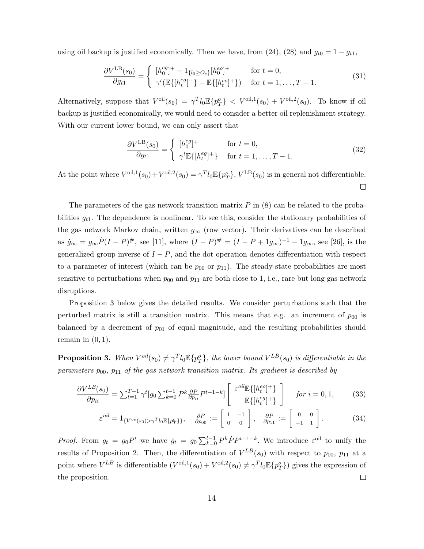using oil backup is justified economically. Then we have, from (24), (28) and  $g_{t0} = 1 - g_{t1}$ ,

$$
\frac{\partial V^{\text{LB}}(s_0)}{\partial g_{t1}} = \begin{cases} [h_0^{eg}]^+ - 1_{\{l_0 \ge O_c\}}[h_0^{eo}]^+ & \text{for } t = 0, \\ \gamma^t (\mathbb{E}\{[h_t^{eg}]^+\} - \mathbb{E}\{[h_t^{eo}]^+\}) & \text{for } t = 1, \dots, T-1. \end{cases}
$$
(31)

Alternatively, suppose that  $V^{oil}(s_0) = \gamma^T l_0 \mathbb{E} \{p_T^o\} < V^{oil,1}(s_0) + V^{oil,2}(s_0)$ . To know if oil backup is justified economically, we would need to consider a better oil replenishment strategy. With our current lower bound, we can only assert that

$$
\frac{\partial V^{\text{LB}}(s_0)}{\partial g_{t1}} = \begin{cases} [h_0^{eg}]^+ & \text{for } t = 0, \\ \gamma^t \mathbb{E}\{[h_t^{eg}]^+\} & \text{for } t = 1, \dots, T-1. \end{cases}
$$
(32)

At the point where  $V^{\text{oil},1}(s_0) + V^{\text{oil},2}(s_0) = \gamma^T l_0 \mathbb{E} \{p_T^o\}$ ,  $V^{\text{LB}}(s_0)$  is in general not differentiable.  $\Box$ 

The parameters of the gas network transition matrix  $P$  in  $(8)$  can be related to the probabilities  $g_{t1}$ . The dependence is nonlinear. To see this, consider the stationary probabilities of the gas network Markov chain, written  $g_{\infty}$  (row vector). Their derivatives can be described as  $\dot{g}_{\infty} = g_{\infty} \dot{P}(I - P)^{\#}$ , see [11], where  $(I - P)^{\#} = (I - P + 1g_{\infty})^{-1} - 1g_{\infty}$ , see [26], is the generalized group inverse of  $I - P$ , and the dot operation denotes differentiation with respect to a parameter of interest (which can be  $p_{00}$  or  $p_{11}$ ). The steady-state probabilities are most sensitive to perturbations when  $p_{00}$  and  $p_{11}$  are both close to 1, i.e., rare but long gas network disruptions.

Proposition 3 below gives the detailed results. We consider perturbations such that the perturbed matrix is still a transition matrix. This means that e.g. an increment of  $p_{00}$  is balanced by a decrement of  $p_{01}$  of equal magnitude, and the resulting probabilities should remain in  $(0, 1)$ .

**Proposition 3.** When  $V^{oil}(s_0) \neq \gamma^T l_0 \mathbb{E}\{p_T^o\}$ , the lower bound  $V^{LB}(s_0)$  is differentiable in the parameters  $p_{00}$ ,  $p_{11}$  of the gas network transition matrix. Its gradient is described by

$$
\frac{\partial V^{LB}(s_0)}{\partial p_{ii}} = \sum_{t=1}^{T-1} \gamma^t [g_0 \sum_{k=0}^{t-1} P^k \frac{\partial P}{\partial p_{ii}} P^{t-1-k}] \begin{bmatrix} \varepsilon^{oil} \mathbb{E}\{[h_t^{eo}]^+ \} \\ \mathbb{E}\{[h_t^{eg}]^+ \} \end{bmatrix} \quad \text{for } i = 0, 1,
$$
 (33)

$$
\varepsilon^{oil} = 1_{\{V^{oil}(s_0) > \gamma^T l_0 \mathbb{E}\{p_T^o\}\}}, \quad \frac{\partial P}{\partial p_{00}} := \begin{bmatrix} 1 & -1 \\ 0 & 0 \end{bmatrix}, \quad \frac{\partial P}{\partial p_{11}} := \begin{bmatrix} 0 & 0 \\ -1 & 1 \end{bmatrix}.
$$
 (34)

*Proof.* From  $g_t = g_0 P^t$  we have  $\dot{g}_t = g_0 \sum_{k=0}^{t-1} P^k \dot{P} P^{t-1-k}$ . We introduce  $\varepsilon^{\text{oil}}$  to unify the results of Proposition 2. Then, the differentiation of  $V^{LB}(s_0)$  with respect to  $p_{00}, p_{11}$  at a point where  $V^{LB}$  is differentiable  $(V^{oil,1}(s_0) + V^{oil,2}(s_0) \neq \gamma^{T}l_0\mathbb{E}\{p_T^o\})$  gives the expression of the proposition.  $\Box$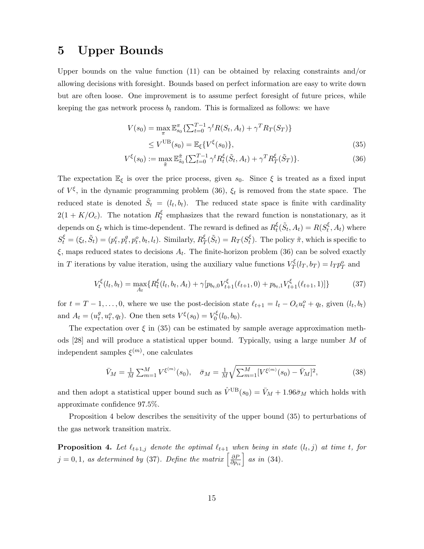### 5 Upper Bounds

Upper bounds on the value function (11) can be obtained by relaxing constraints and/or allowing decisions with foresight. Bounds based on perfect information are easy to write down but are often loose. One improvement is to assume perfect foresight of future prices, while keeping the gas network process  $b_t$  random. This is formalized as follows: we have

$$
V(s_0) = \max_{\pi} \mathbb{E}_{s_0}^{\pi} \{ \sum_{t=0}^{T-1} \gamma^t R(S_t, A_t) + \gamma^T R_T(S_T) \}
$$
  
 
$$
\leq V^{\text{UB}}(s_0) = \mathbb{E}_{\xi} \{ V^{\xi}(s_0) \}, \tag{35}
$$

$$
V^{\xi}(s_0) := \max_{\tilde{\pi}} \mathbb{E}_{\tilde{s}_0}^{\tilde{\pi}} \{ \sum_{t=0}^{T-1} \gamma^t R_t^{\xi}(\tilde{S}_t, A_t) + \gamma^T R_T^{\xi}(\tilde{S}_T) \}.
$$
 (36)

The expectation  $\mathbb{E}_{\xi}$  is over the price process, given  $s_0$ . Since  $\xi$  is treated as a fixed input of  $V^{\xi}$ , in the dynamic programming problem (36),  $\xi_t$  is removed from the state space. The reduced state is denoted  $\tilde{S}_t = (l_t, b_t)$ . The reduced state space is finite with cardinality  $2(1 + K/O_c)$ . The notation  $R_t^{\xi}$  $t<sub>t</sub>$  emphasizes that the reward function is nonstationary, as it depends on  $\xi_t$  which is time-dependent. The reward is defined as  $R_t^\xi$  $\xi(\tilde{S}_t, A_t) = R(S_t^{\xi})$  $(t_t^{\xi}, A_t)$  where  $S_t^{\xi} = (\xi_t, \tilde{S}_t) = (p_t^e, p_t^g)$  $t^g, p_t^o, b_t, l_t$ ). Similarly,  $R_I^{\xi}$  $\tilde{S}_T(\tilde{S}_t) = R_T(S_t^{\xi})$  $\hat{t}$ ). The policy  $\tilde{\pi}$ , which is specific to  $\xi$ , maps reduced states to decisions  $A_t$ . The finite-horizon problem (36) can be solved exactly in T iterations by value iteration, using the auxiliary value functions  $V_T^{\xi}$  $T^{\xi}(l_T, b_T) = l_T p_T^o$  and

$$
V_t^{\xi}(l_t, b_t) = \max_{A_t} \{ R_t^{\xi}(l_t, b_t, A_t) + \gamma [p_{b_t,0} V_{t+1}^{\xi}(\ell_{t+1}, 0) + p_{b_t,1} V_{t+1}^{\xi}(\ell_{t+1}, 1)] \}
$$
(37)

for  $t = T - 1, \ldots, 0$ , where we use the post-decision state  $\ell_{t+1} = l_t - O_c u_t^o + q_t$ , given  $(l_t, b_t)$ and  $A_t = (u_t^g)$  $t^g, u_t^o, q_t$ ). One then sets  $V^{\xi}(s_0) = V_0^{\xi}$  $\int_0^{\xi} (l_0, b_0).$ 

The expectation over  $\xi$  in (35) can be estimated by sample average approximation methods [28] and will produce a statistical upper bound. Typically, using a large number M of independent samples  $\xi^{(m)}$ , one calculates

$$
\bar{V}_M = \frac{1}{M} \sum_{m=1}^{M} V^{\xi^{(m)}}(s_0), \quad \bar{\sigma}_M = \frac{1}{M} \sqrt{\sum_{m=1}^{M} [V^{\xi^{(m)}}(s_0) - \bar{V}_M]^2}, \tag{38}
$$

and then adopt a statistical upper bound such as  $\hat{V}^{UB}(s_0) = \bar{V}_M + 1.96 \bar{\sigma}_M$  which holds with approximate confidence 97.5%.

Proposition 4 below describes the sensitivity of the upper bound (35) to perturbations of the gas network transition matrix.

**Proposition 4.** Let  $\ell_{t+1,j}$  denote the optimal  $\ell_{t+1}$  when being in state  $(l_t, j)$  at time t, for  $j = 0, 1$ , as determined by (37). Define the matrix  $\left[\frac{\partial P}{\partial p_{ii}}\right]$  as in (34).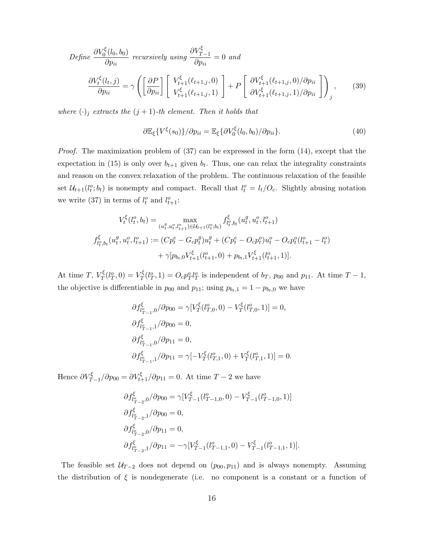$$
Define \frac{\partial V_0^{\xi}(l_0, b_0)}{\partial p_{ii}} \text{ recursively using } \frac{\partial V_{T-1}^{\xi}}{\partial p_{ii}} = 0 \text{ and}
$$
\n
$$
\frac{\partial V_t^{\xi}(l_t, j)}{\partial p_{ii}} = \gamma \left( \left[ \frac{\partial P}{\partial p_{ii}} \right] \begin{bmatrix} V_{t+1}^{\xi}(\ell_{t+1,j}, 0) \\ V_{t+1}^{\xi}(\ell_{t+1,j}, 1) \end{bmatrix} + P \begin{bmatrix} \frac{\partial V_{t+1}^{\xi}(\ell_{t+1,j}, 0)}{\partial V_{t+1}^{\xi}(\ell_{t+1,j}, 1)} \end{bmatrix} \right), \qquad (39)
$$

where  $(\cdot)_j$  extracts the  $(j + 1)$ -th element. Then it holds that

$$
\partial \mathbb{E}_{\xi} \{ V^{\xi}(s_0) \} / \partial p_{ii} = \mathbb{E}_{\xi} \{ \partial V_0^{\xi}(l_0, b_0) / \partial p_{ii} \}.
$$
\n(40)

Proof. The maximization problem of  $(37)$  can be expressed in the form  $(14)$ , except that the expectation in (15) is only over  $b_{t+1}$  given  $b_t$ . Thus, one can relax the integrality constraints and reason on the convex relaxation of the problem. The continuous relaxation of the feasible set  $\mathcal{U}_{t+1}(l_t^o; b_t)$  is nonempty and compact. Recall that  $l_t^o = l_t/O_c$ . Slightly abusing notation we write (37) in terms of  $l_t^o$  and  $l_{t+1}^o$ :

$$
V_t^{\xi}(l_t^o, b_t) = \max_{(u_t^g, u_t^o, l_{t+1}^o) \in \mathcal{U}_{t+1}(l_t^o, b_t)} f_{l_t^o, b_t}^{\xi}(u_t^g, u_t^o, l_{t+1}^o)
$$
  

$$
f_{l_t^o, b_t}^{\xi}(u_t^g, u_t^o, l_{t+1}^o) := (Cp_t^e - G_cp_t^g)u_t^g + (Cp_t^e - O_cp_t^o)u_t^o - O_cp_t^o(l_{t+1}^o - l_t^o)
$$
  

$$
+ \gamma[p_{b_t,0}V_{t+1}^{\xi}(l_{t+1}^o, 0) + p_{b_t,1}V_{t+1}^{\xi}(l_{t+1}^o, 1)].
$$

At time T,  $V_T^{\xi}$  $Y_T^{\xi}(l_T^o, 0) = V_T^{\xi}$  $T^{\xi}_{T}(l_{T}^{o}, 1) = O_{c} p_{T}^{o} l_{T}^{o}$  is independent of  $b_{T}$ ,  $p_{00}$  and  $p_{11}$ . At time  $T - 1$ , the objective is differentiable in  $p_{00}$  and  $p_{11}$ ; using  $p_{b_t,1} = 1 - p_{b_t,0}$  we have

$$
\begin{aligned} &\partial f^{\xi}_{l^o_{T-1},0}/\partial p_{00}=\gamma[V^{\xi}_{T}(l^o_{T,0},0)-V^{\xi}_{T}(l^o_{T,0},1)]=0,\\ &\partial f^{\xi}_{l^o_{T-1},1}/\partial p_{00}=0,\\ &\partial f^{\xi}_{l^o_{T-1},0}/\partial p_{11}=0,\\ &\partial f^{\xi}_{l^o_{T-1},1}/\partial p_{11}=\gamma[-V^{\xi}_{T}(l^o_{T,1},0)+V^{\xi}_{T}(l^o_{T,1},1)]=0. \end{aligned}
$$

Hence  $\partial V_{T-1}^{\xi}/\partial p_{00} = \partial V_{t+1}^{\xi}/\partial p_{11} = 0$ . At time  $T-2$  we have

$$
\begin{aligned} &\partial f^{\xi}_{l^o_{T-2},0}/\partial p_{00}=\gamma[V^{\xi}_{T-1}(l^o_{T-1,0},0)-V^{\xi}_{T-1}(l^o_{T-1,0},1)]\\ &\partial f^{\xi}_{l^o_{T-2},1}/\partial p_{00}=0,\\ &\partial f^{\xi}_{l^o_{T-2},0}/\partial p_{11}=0,\\ &\partial f^{\xi}_{l^o_{T-2},1}/\partial p_{11}=-\gamma[V^{\xi}_{T-1}(l^o_{T-1,1},0)-V^{\xi}_{T-1}(l^o_{T-1,1},1)]. \end{aligned}
$$

The feasible set  $U_{T-2}$  does not depend on  $(p_{00}, p_{11})$  and is always nonempty. Assuming the distribution of  $\xi$  is nondegenerate (i.e. no component is a constant or a function of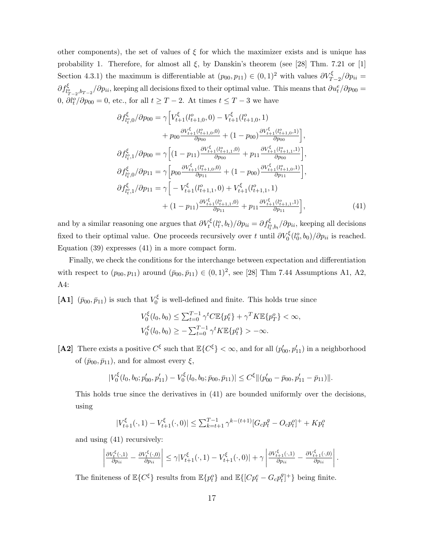other components), the set of values of  $\xi$  for which the maximizer exists and is unique has probability 1. Therefore, for almost all  $\xi$ , by Danskin's theorem (see [28] Thm. 7.21 or [1] Section 4.3.1) the maximum is differentiable at  $(p_{00}, p_{11}) \in (0, 1)^2$  with values  $\partial V_{T-2}^{\xi}/\partial p_{ii} =$  $\partial f_{l_{T-2},b_{T-2}}^{\xi}/\partial p_{ii}$ , keeping all decisions fixed to their optimal value. This means that  $\partial u_t^e/\partial p_{00} =$ 0,  $\partial l_l^o / \partial p_{00} = 0$ , etc., for all  $t \geq T - 2$ . At times  $t \leq T - 3$  we have

$$
\partial f_{l_{t,0}}^{\xi}/\partial p_{00} = \gamma \Big[ V_{t+1}^{\xi}(l_{t+1,0}^{o}, 0) - V_{t+1}^{\xi}(l_{t+1,0}^{o}, 1) + p_{00} \frac{\partial V_{t+1}^{\xi}(l_{t+1,0}^{o}, 0)}{\partial p_{00}} + (1 - p_{00}) \frac{\partial V_{t+1}^{\xi}(l_{t+1,0}^{o}, 1)}{\partial p_{00}} \Big],
$$
  
\n
$$
\partial f_{l_{t,0}^{o}}^{\xi}/\partial p_{00} = \gamma \Big[ (1 - p_{11}) \frac{\partial V_{t+1}^{\xi}(l_{t+1,1}^{o}, 0)}{\partial p_{00}} + p_{11} \frac{\partial V_{t+1}^{\xi}(l_{t+1,1}^{o}, 1)}{\partial p_{00}} \Big],
$$
  
\n
$$
\partial f_{l_{t,0}^{o}}^{\xi}/\partial p_{11} = \gamma \Big[ p_{00} \frac{\partial V_{t+1}^{\xi}(l_{t+1,0}^{o}, 0)}{\partial p_{11}} + (1 - p_{00}) \frac{\partial V_{t+1}^{\xi}(l_{t+1,0}^{o}, 1)}{\partial p_{11}} \Big],
$$
  
\n
$$
\partial f_{l_{t,1}^{o}}^{\xi}/\partial p_{11} = \gamma \Big[ -V_{t+1}^{\xi}(l_{t+1,1}^{o}, 0) + V_{t+1}^{\xi}(l_{t+1,1}^{o}, 1) + (1 - p_{11}) \frac{\partial V_{t+1}^{\xi}(l_{t+1,1}^{o}, 0)}{\partial p_{11}} + p_{11} \frac{\partial V_{t+1}^{\xi}(l_{t+1,1}^{o}, 1)}{\partial p_{11}} \Big], \tag{41}
$$

and by a similar reasoning one argues that  $\partial V_t^{\xi}(l_t^o, b_t)/\partial p_{ii} = \partial f_{l_t^o, b_t}^{\xi}/\partial p_{ii}$ , keeping all decisions fixed to their optimal value. One proceeds recursively over t until  $\partial V_0^{\xi}(l_0^o, b_0)/\partial p_{ii}$  is reached. Equation (39) expresses (41) in a more compact form.

Finally, we check the conditions for the interchange between expectation and differentiation with respect to  $(p_{00}, p_{11})$  around  $(\bar{p}_{00}, \bar{p}_{11}) \in (0, 1)^2$ , see [28] Thm 7.44 Assumptions A1, A2, A4:

[A1]  $(\bar{p}_{00}, \bar{p}_{11})$  is such that  $V_0^{\xi}$  $\zeta_0^{\zeta}$  is well-defined and finite. This holds true since

$$
V_0^{\xi}(l_0, b_0) \le \sum_{t=0}^{T-1} \gamma^t C \mathbb{E}\{p_t^e\} + \gamma^T K \mathbb{E}\{p_T^o\} < \infty,
$$
  

$$
V_0^{\xi}(l_0, b_0) \ge -\sum_{t=0}^{T-1} \gamma^t K \mathbb{E}\{p_t^o\} > -\infty.
$$

[A2] There exists a positive  $C^{\xi}$  such that  $\mathbb{E}\{C^{\xi}\}<\infty$ , and for all  $(p'_{00}, p'_{11})$  in a neighborhood of  $(\bar{p}_{00}, \bar{p}_{11})$ , and for almost every  $\xi$ ,

$$
|V_0^{\xi}(l_0, b_0; p'_{00}, p'_{11}) - V_0^{\xi}(l_0, b_0; \bar{p}_{00}, \bar{p}_{11})| \le C^{\xi} \|(p'_{00} - \bar{p}_{00}, p'_{11} - \bar{p}_{11})\|.
$$

This holds true since the derivatives in (41) are bounded uniformly over the decisions, using

$$
|V_{t+1}^{\xi}(\cdot,1) - V_{t+1}^{\xi}(\cdot,0)| \le \sum_{k=t+1}^{T-1} \gamma^{k-(t+1)} [G_c p_t^g - O_c p_t^o]^+ + K p_t^o
$$

and using (41) recursively:

$$
\left|\frac{\partial V_t^{\xi}(\cdot,1)}{\partial p_{ii}} - \frac{\partial V_t^{\xi}(\cdot,0)}{\partial p_{ii}}\right| \leq \gamma |V_{t+1}^{\xi}(\cdot,1) - V_{t+1}^{\xi}(\cdot,0)| + \gamma \left|\frac{\partial V_{t+1}^{\xi}(\cdot,1)}{\partial p_{ii}} - \frac{\partial V_{t+1}^{\xi}(\cdot,0)}{\partial p_{ii}}\right|.
$$

The finiteness of  $\mathbb{E}\{C^{\xi}\}$  results from  $\mathbb{E}\{p_t^o\}$  and  $\mathbb{E}\{[Cp_t^e - G_c p_t^g]$  $_{t}^{g}$ ]<sup>+</sup>} being finite.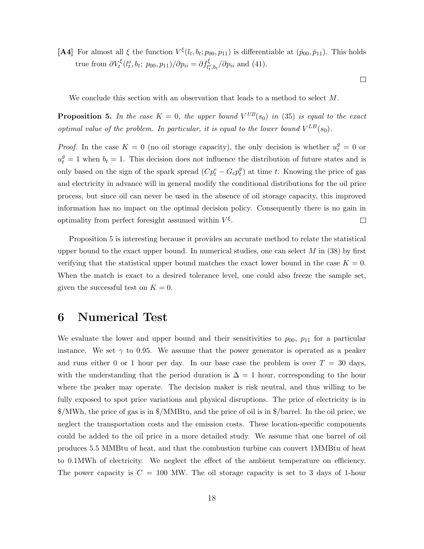[A4] For almost all  $\xi$  the function  $V^{\xi}(l_t, b_t; p_{00}, p_{11})$  is differentiable at  $(\bar{p}_{00}, \bar{p}_{11})$ . This holds true from  $\partial V_{t}^{\xi}(l_{t}^{o}, b_{t}; p_{00}, p_{11})/\partial p_{ii} = \partial f_{l_{t}^{o}, b_{t}}^{\xi}/\partial p_{ii}$  and (41).

We conclude this section with an observation that leads to a method to select M.

**Proposition 5.** In the case  $K = 0$ , the upper bound  $V^{UB}(s_0)$  in (35) is equal to the exact optimal value of the problem. In particular, it is equal to the lower bound  $V^{LB}(s_0)$ .

*Proof.* In the case  $K = 0$  (no oil storage capacity), the only decision is whether  $u_t^g = 0$  or  $u_t^g = 1$  when  $b_t = 1$ . This decision does not influence the distribution of future states and is only based on the sign of the spark spread  $(Cp_t^e - G_c p_t^g)$  $_t^g$ ) at time t. Knowing the price of gas and electricity in advance will in general modify the conditional distributions for the oil price process, but since oil can never be used in the absence of oil storage capacity, this improved information has no impact on the optimal decision policy. Consequently there is no gain in optimality from perfect foresight assumed within  $V^{\xi}$ .  $\Box$ 

Proposition 5 is interesting because it provides an accurate method to relate the statistical upper bound to the exact upper bound. In numerical studies, one can select  $M$  in (38) by first verifying that the statistical upper bound matches the exact lower bound in the case  $K = 0$ . When the match is exact to a desired tolerance level, one could also freeze the sample set, given the successful test on  $K = 0$ .

### 6 Numerical Test

We evaluate the lower and upper bound and their sensitivities to  $p_{00}$ ,  $p_{11}$  for a particular instance. We set  $\gamma$  to 0.95. We assume that the power generator is operated as a peaker and runs either 0 or 1 hour per day. In our base case the problem is over  $T = 30$  days, with the understanding that the period duration is  $\Delta = 1$  hour, corresponding to the hour where the peaker may operate. The decision maker is risk neutral, and thus willing to be fully exposed to spot price variations and physical disruptions. The price of electricity is in \$/MWh, the price of gas is in \$/MMBtu, and the price of oil is in \$/barrel. In the oil price, we neglect the transportation costs and the emission costs. These location-specific components could be added to the oil price in a more detailed study. We assume that one barrel of oil produces 5.5 MMBtu of heat, and that the combustion turbine can convert 1MMBtu of heat to 0.1MWh of electricity. We neglect the effect of the ambient temperature on efficiency. The power capacity is  $C = 100$  MW. The oil storage capacity is set to 3 days of 1-hour

 $\Box$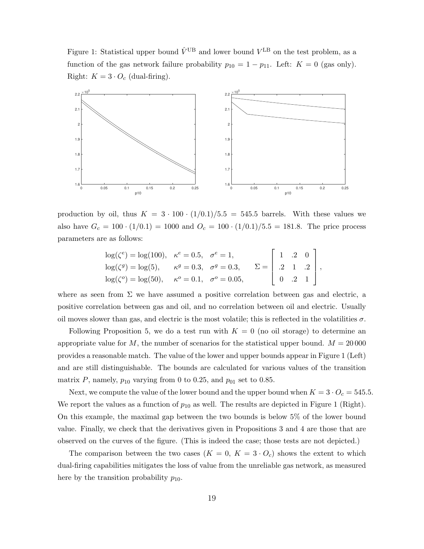Figure 1: Statistical upper bound  $\hat{V}^{UB}$  and lower bound  $V^{LB}$  on the test problem, as a function of the gas network failure probability  $p_{10} = 1 - p_{11}$ . Left:  $K = 0$  (gas only). Right:  $K = 3 \cdot O_c$  (dual-firing).



production by oil, thus  $K = 3 \cdot 100 \cdot (1/0.1)/5.5 = 545.5$  barrels. With these values we also have  $G_c = 100 \cdot (1/0.1) = 1000$  and  $O_c = 100 \cdot (1/0.1)/5.5 = 181.8$ . The price process parameters are as follows:

$$
\log(\zeta^{e}) = \log(100), \quad \kappa^{e} = 0.5, \quad \sigma^{e} = 1, \n\log(\zeta^{g}) = \log(5), \qquad \kappa^{g} = 0.3, \quad \sigma^{g} = 0.3, \qquad \Sigma = \begin{bmatrix} 1 & .2 & 0 \\ .2 & 1 & .2 \\ .2 & 1 & .2 \\ 0 & .2 & 1 \end{bmatrix}, \n\log(\zeta^{o}) = \log(50), \qquad \kappa^{o} = 0.1, \quad \sigma^{o} = 0.05,
$$

where as seen from  $\Sigma$  we have assumed a positive correlation between gas and electric, a positive correlation between gas and oil, and no correlation between oil and electric. Usually oil moves slower than gas, and electric is the most volatile; this is reflected in the volatilities  $\sigma$ .

Following Proposition 5, we do a test run with  $K = 0$  (no oil storage) to determine an appropriate value for M, the number of scenarios for the statistical upper bound.  $M = 20000$ provides a reasonable match. The value of the lower and upper bounds appear in Figure 1 (Left) and are still distinguishable. The bounds are calculated for various values of the transition matrix P, namely,  $p_{10}$  varying from 0 to 0.25, and  $p_{01}$  set to 0.85.

Next, we compute the value of the lower bound and the upper bound when  $K = 3 \cdot O_c = 545.5$ . We report the values as a function of  $p_{10}$  as well. The results are depicted in Figure 1 (Right). On this example, the maximal gap between the two bounds is below 5% of the lower bound value. Finally, we check that the derivatives given in Propositions 3 and 4 are those that are observed on the curves of the figure. (This is indeed the case; those tests are not depicted.)

The comparison between the two cases  $(K = 0, K = 3 \cdot O_c)$  shows the extent to which dual-firing capabilities mitigates the loss of value from the unreliable gas network, as measured here by the transition probability  $p_{10}$ .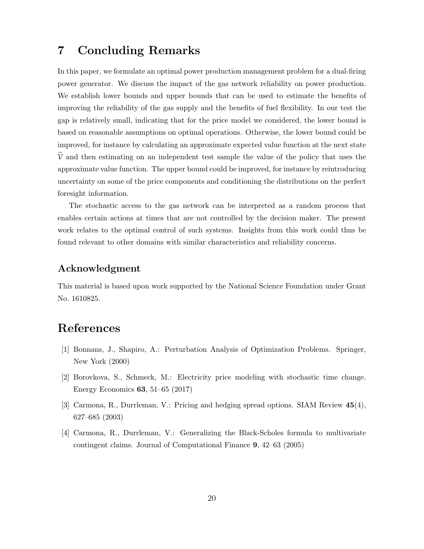### 7 Concluding Remarks

In this paper, we formulate an optimal power production management problem for a dual-firing power generator. We discuss the impact of the gas network reliability on power production. We establish lower bounds and upper bounds that can be used to estimate the benefits of improving the reliability of the gas supply and the benefits of fuel flexibility. In our test the gap is relatively small, indicating that for the price model we considered, the lower bound is based on reasonable assumptions on optimal operations. Otherwise, the lower bound could be improved, for instance by calculating an approximate expected value function at the next state  $V$  and then estimating on an independent test sample the value of the policy that uses the approximate value function. The upper bound could be improved, for instance by reintroducing uncertainty on some of the price components and conditioning the distributions on the perfect foresight information.

The stochastic access to the gas network can be interpreted as a random process that enables certain actions at times that are not controlled by the decision maker. The present work relates to the optimal control of such systems. Insights from this work could thus be found relevant to other domains with similar characteristics and reliability concerns.

#### Acknowledgment

This material is based upon work supported by the National Science Foundation under Grant No. 1610825.

## References

- [1] Bonnans, J., Shapiro, A.: Perturbation Analysis of Optimization Problems. Springer, New York (2000)
- [2] Borovkova, S., Schmeck, M.: Electricity price modeling with stochastic time change. Energy Economics 63, 51–65 (2017)
- [3] Carmona, R., Durrleman, V.: Pricing and hedging spread options. SIAM Review 45(4), 627–685 (2003)
- [4] Carmona, R., Durrleman, V.: Generalizing the Black-Scholes formula to multivariate contingent claims. Journal of Computational Finance 9, 42–63 (2005)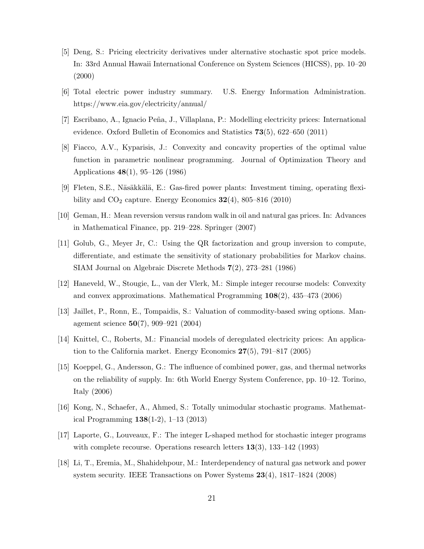- [5] Deng, S.: Pricing electricity derivatives under alternative stochastic spot price models. In: 33rd Annual Hawaii International Conference on System Sciences (HICSS), pp. 10–20 (2000)
- [6] Total electric power industry summary. U.S. Energy Information Administration. https://www.eia.gov/electricity/annual/
- [7] Escribano, A., Ignacio Peña, J., Villaplana, P.: Modelling electricity prices: International evidence. Oxford Bulletin of Economics and Statistics 73(5), 622–650 (2011)
- [8] Fiacco, A.V., Kyparisis, J.: Convexity and concavity properties of the optimal value function in parametric nonlinear programming. Journal of Optimization Theory and Applications 48(1), 95–126 (1986)
- [9] Fleten, S.E., N¨as¨akk¨al¨a, E.: Gas-fired power plants: Investment timing, operating flexibility and  $CO_2$  capture. Energy Economics  $32(4)$ , 805–816 (2010)
- [10] Geman, H.: Mean reversion versus random walk in oil and natural gas prices. In: Advances in Mathematical Finance, pp. 219–228. Springer (2007)
- [11] Golub, G., Meyer Jr, C.: Using the QR factorization and group inversion to compute, differentiate, and estimate the sensitivity of stationary probabilities for Markov chains. SIAM Journal on Algebraic Discrete Methods 7(2), 273–281 (1986)
- [12] Haneveld, W., Stougie, L., van der Vlerk, M.: Simple integer recourse models: Convexity and convex approximations. Mathematical Programming 108(2), 435–473 (2006)
- [13] Jaillet, P., Ronn, E., Tompaidis, S.: Valuation of commodity-based swing options. Management science 50(7), 909–921 (2004)
- [14] Knittel, C., Roberts, M.: Financial models of deregulated electricity prices: An application to the California market. Energy Economics 27(5), 791–817 (2005)
- [15] Koeppel, G., Andersson, G.: The influence of combined power, gas, and thermal networks on the reliability of supply. In: 6th World Energy System Conference, pp. 10–12. Torino, Italy (2006)
- [16] Kong, N., Schaefer, A., Ahmed, S.: Totally unimodular stochastic programs. Mathematical Programming 138(1-2), 1–13 (2013)
- [17] Laporte, G., Louveaux, F.: The integer L-shaped method for stochastic integer programs with complete recourse. Operations research letters  $13(3)$ ,  $133-142$  (1993)
- [18] Li, T., Eremia, M., Shahidehpour, M.: Interdependency of natural gas network and power system security. IEEE Transactions on Power Systems 23(4), 1817–1824 (2008)